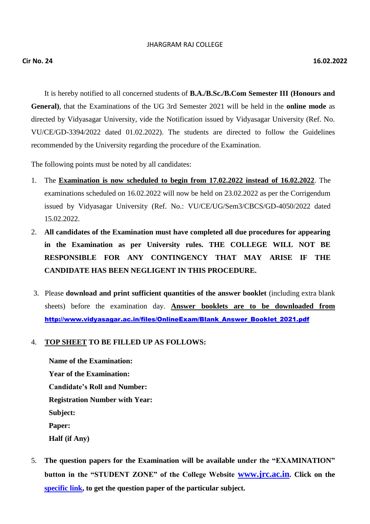#### JHARGRAM RAJ COLLEGE

It is hereby notified to all concerned students of **B.A./B.Sc./B.Com Semester III (Honours and General)**, that the Examinations of the UG 3rd Semester 2021 will be held in the **online mode** as directed by Vidyasagar University, vide the Notification issued by Vidyasagar University (Ref. No. VU/CE/GD-3394/2022 dated 01.02.2022). The students are directed to follow the Guidelines recommended by the University regarding the procedure of the Examination.

The following points must be noted by all candidates:

- 1. The **Examination is now scheduled to begin from 17.02.2022 instead of 16.02.2022**. The examinations scheduled on 16.02.2022 will now be held on 23.02.2022 as per the Corrigendum issued by Vidyasagar University (Ref. No.: VU/CE/UG/Sem3/CBCS/GD-4050/2022 dated 15.02.2022.
- 2. **All candidates of the Examination must have completed all due procedures for appearing in the Examination as per University rules. THE COLLEGE WILL NOT BE RESPONSIBLE FOR ANY CONTINGENCY THAT MAY ARISE IF THE CANDIDATE HAS BEEN NEGLIGENT IN THIS PROCEDURE.**
- 3. Please **download and print sufficient quantities of the answer booklet** (including extra blank sheets) before the examination day. **Answer booklets are to be downloaded from** [http://www.vidyasagar.ac.in/files/OnlineExam/Blank\\_Answer\\_Booklet\\_2021.pdf](http://www.vidyasagar.ac.in/files/OnlineExam/Blank_Answer_Booklet_2021.pdf)

# 4. **TOP SHEET TO BE FILLED UP AS FOLLOWS:**

**Name of the Examination: Year of the Examination: Candidate's Roll and Number: Registration Number with Year: Subject: Paper: Half (if Any)**

5. **The question papers for the Examination will be available under the "EXAMINATION" button in the "STUDENT ZONE" of the College Website [www.jrc.ac.in](http://www.jrc.ac.in/). Click on the [specific link,](https://sites.google.com/view/babscbcom3-external-2021--exam/home) to get the question paper of the particular subject.**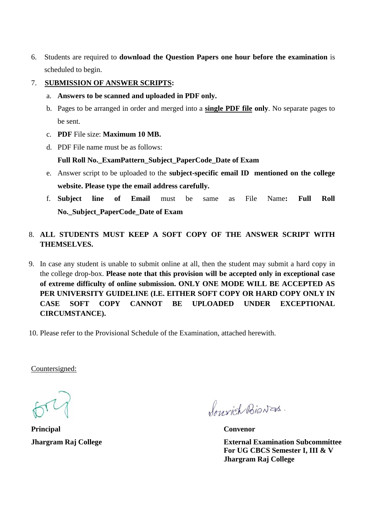- 6. Students are required to **download the Question Papers one hour before the examination** is scheduled to begin.
- 7. **SUBMISSION OF ANSWER SCRIPTS:**
	- a. **Answers to be scanned and uploaded in PDF only.**
	- b. Pages to be arranged in order and merged into a **single PDF file only**. No separate pages to be sent.
	- c. **PDF** File size: **Maximum 10 MB.**
	- d. PDF File name must be as follows:

# **Full Roll No.\_ExamPattern\_Subject\_PaperCode\_Date of Exam**

- e. Answer script to be uploaded to the **subject-specific email ID mentioned on the college website. Please type the email address carefully.**
- f. **Subject line of Email** must be same as File Name**: Full Roll No.\_Subject\_PaperCode\_Date of Exam**
- 8. **ALL STUDENTS MUST KEEP A SOFT COPY OF THE ANSWER SCRIPT WITH THEMSELVES.**
- 9. In case any student is unable to submit online at all, then the student may submit a hard copy in the college drop-box. **Please note that this provision will be accepted only in exceptional case of extreme difficulty of online submission. ONLY ONE MODE WILL BE ACCEPTED AS PER UNIVERSITY GUIDELINE (I.E. EITHER SOFT COPY OR HARD COPY ONLY IN CASE SOFT COPY CANNOT BE UPLOADED UNDER EXCEPTIONAL CIRCUMSTANCE).**
- 10. Please refer to the Provisional Schedule of the Examination, attached herewith.

Countersigned:

**Principal Convenor**

Sourich Bionas.

**Jhargram Raj College External Examination Subcommittee For UG CBCS Semester I, III & V Jhargram Raj College**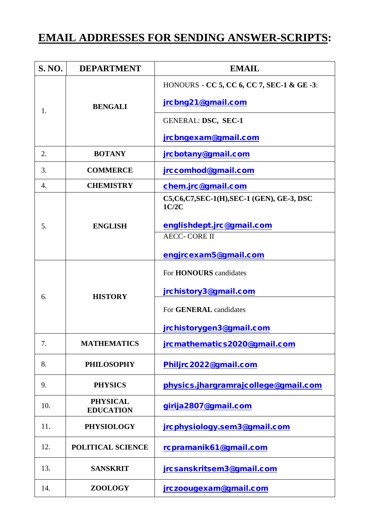# **EMAIL ADDRESSES FOR SENDING ANSWER-SCRIPTS:**

| <b>S. NO.</b> | <b>DEPARTMENT</b>                   | <b>EMAIL</b>                                          |  |
|---------------|-------------------------------------|-------------------------------------------------------|--|
|               | <b>BENGALI</b>                      | HONOURS - CC 5, CC 6, CC 7, SEC-1 & GE -3:            |  |
| 1.            |                                     | jrcbng21@gmail.com                                    |  |
|               |                                     | GENERAL: DSC, SEC-1                                   |  |
|               |                                     | jrcbngexam@gmail.com                                  |  |
| 2.            | <b>BOTANY</b>                       | jrcbotany@gmail.com                                   |  |
| 3.            | <b>COMMERCE</b>                     | jrccomhod@gmail.com                                   |  |
| 4.            | <b>CHEMISTRY</b>                    | chem.jrc@gmail.com                                    |  |
|               |                                     | C5, C6, C7, SEC-1(H), SEC-1 (GEN), GE-3, DSC<br>1C/2C |  |
| 5.            | <b>ENGLISH</b>                      | englishdept.jrc@gmail.com                             |  |
|               |                                     | <b>AECC- CORE II</b>                                  |  |
|               |                                     | engjrcexam5@gmail.com                                 |  |
|               | <b>HISTORY</b>                      | For <b>HONOURS</b> candidates                         |  |
| 6.            |                                     | jrchistory3@gmail.com                                 |  |
|               |                                     | For <b>GENERAL</b> candidates                         |  |
|               |                                     | jrchistorygen3@gmail.com                              |  |
| 7.            | <b>MATHEMATICS</b>                  | jrcmathematics2020@gmail.com                          |  |
| 8.            | <b>PHILOSOPHY</b>                   | Philjrc2022@gmail.com                                 |  |
| 9.            | <b>PHYSICS</b>                      | physics.jhargramrajcollege@gmail.com                  |  |
| 10.           | <b>PHYSICAL</b><br><b>EDUCATION</b> | girija2807@gmail.com                                  |  |
| 11.           | <b>PHYSIOLOGY</b>                   | jrcphysiology.sem3@gmail.com                          |  |
| 12.           | POLITICAL SCIENCE                   | rcpramanik61@gmail.com                                |  |
| 13.           | <b>SANSKRIT</b>                     | jrcsanskritsem3@gmail.com                             |  |
| 14.           | <b>ZOOLOGY</b>                      | jrczoougexam@gmail.com                                |  |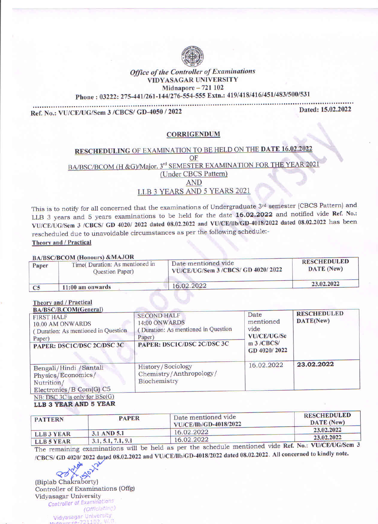

# **Office of the Controller of Examinations** VIDYASAGAR UNIVERSITY Midnapore  $-721$  102

Phone: 03222: 275-441/261-144/276-554-555 Extn.: 419/418/416/451/483/500/531

Ref. No.: VU/CE/UG/Sem 3 /CBCS/ GD-4050 / 2022

Dated: 15.02.2022

# **CORRIGENDUM**

# **RESCHEDULING OF EXAMINATION TO BE HELD ON THE DATE 16.02.2022** OF BA/BSC/BCOM (H & G)/Major. 3<sup>rd</sup> SEMESTER EXAMINATION FOR THE YEAR 2021 (Under CBCS Pattern) **AND** LLB 3 YEARS AND 5 YEARS 2021

This is to notify for all concerned that the examinations of Undergraduate 3rd semester (CBCS Pattern) and LLB 3 years and 5 years examinations to be held for the date 16.02.2022 and notified vide Ref. No.: VU/CE/UG/Sem 3 /CBCS/ GD 4020/ 2022 dated 08.02.2022 and VU/CE/IIb/GD-4018/2022 dated 08.02.2022 has been rescheduled due to unavoidable circumstances as per the following schedule:-Theory and / Practical

**DAMAGARCOM (Honoura) & MAJOR** 

| Paper          | BA/BSC/BCOM (H0110013) & MAJOR<br>Time( Duration: As mentioned in<br><b>Ouestion Paper</b> ) | Date mentioned vide<br>VU/CE/UG/Sem 3 /CBCS/ GD 4020/2022 | <b>RESCHEDULED</b><br><b>DATE</b> (New) |
|----------------|----------------------------------------------------------------------------------------------|-----------------------------------------------------------|-----------------------------------------|
| C <sub>5</sub> | $11:00$ am onwards                                                                           | 16.02.2022                                                | 23.02.2022                              |
|                |                                                                                              |                                                           |                                         |

### **Theory and / Practical**

| BA/BSC/B.COM(General)<br><b>FIRST HALF</b><br>10.00 AM ONWARDS<br>(Duration: As mentioned in Question<br>Paper)<br>PAPER: DSC1C/DSC 2C/DSC 3C | <b>SECOND HALF</b><br><b>14:00 ONWARDS</b><br>Duration: As mentioned in Question<br>Paper)<br>PAPER: DSC1C/DSC 2C/DSC 3C | <b>Date</b><br>mentioned<br>vide<br>VU/CE/UG/Se<br>m <sub>3</sub> /CBCS/<br>GD 4020/2022 | <b>RESCHEDULED</b><br>DATE(New) |  |
|-----------------------------------------------------------------------------------------------------------------------------------------------|--------------------------------------------------------------------------------------------------------------------------|------------------------------------------------------------------------------------------|---------------------------------|--|
| Bengali/Hindi /Santali<br>Physics/Economics/<br>Nutrition/<br>Electronics/B Com(G) C5<br>$NR \cdot \text{DSC}$ 3C is only for $\text{BSc}(G)$ | <b>History/Sociology</b><br>Chemistry/Anthropology/<br>Biochemistry                                                      | 16.02.2022                                                                               | 23.02.2022                      |  |

#### LLB 3 YEAR AND 5 YEAR

| <b>PATTERN</b>                 | <b>PAPER</b>       | Date mentioned vide<br><b>VU/CE/llb/GD-4018/2022</b> | <b>RESCHEDULED</b><br>DATE (New) |
|--------------------------------|--------------------|------------------------------------------------------|----------------------------------|
|                                | 3.1 AND 5.1        | 16.02.2022                                           | 23.02.2022                       |
| LLB3 YEAR<br><b>LLR 5 VEAR</b> | 3.1, 5.1, 7.1, 9.1 | 16.02.2022                                           | 23.02.2022                       |

The remaining examinations will be held as per the schedule mentioned vide Ref. No.: VU/CE/UG/Sem 3 /CBCS/ GD 4020/2022 dated 08.02.2022 and VU/CE/llb/GD-4018/2022 dated 08.02.2022. All concerned to kindly note.

(Biplab Chakraborty) Controller of Examinations (Offg) **Vidyasagar University** Controller of Examinations (Officiating) Vidyasagar University